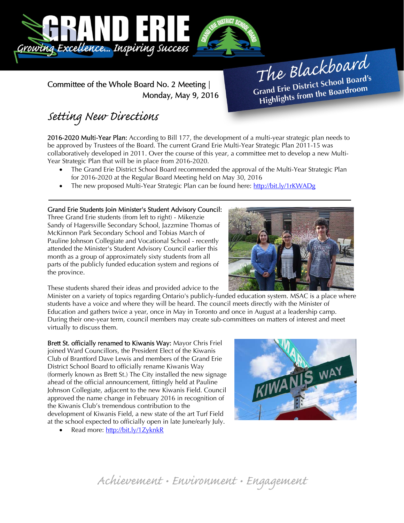

Committee of the Whole Board No. 2 Meeting | Monday, May 9, 2016

# The Blackboard The Burnor<br>Grand Erie District School Board's<br>Little from the Boardroom rand Erie District School Board<br>Highlights from the Boardroom

# Setting New Directions

j

2016-2020 Multi-Year Plan: According to Bill 177, the development of a multi-year strategic plan needs to be approved by Trustees of the Board. The current Grand Erie Multi-Year Strategic Plan 2011-15 was collaboratively developed in 2011. Over the course of this year, a committee met to develop a new Multi-Year Strategic Plan that will be in place from 2016-2020.

- The Grand Erie District School Board recommended the approval of the Multi-Year Strategic Plan for 2016-2020 at the Regular Board Meeting held on May 30, 2016
- The new proposed Multi-Year Strategic Plan can be found here: http://bit.ly/1rKWADg

### Grand Erie Students Join Minister's Student Advisory Council:

Three Grand Erie students (from left to right) - Mikenzie Sandy of Hagersville Secondary School, Jazzmine Thomas of McKinnon Park Secondary School and Tobias March of Pauline Johnson Collegiate and Vocational School - recently attended the Minister's Student Advisory Council earlier this month as a group of approximately sixty students from all parts of the publicly funded education system and regions of the province.



These students shared their ideas and provided advice to the

Minister on a variety of topics regarding Ontario's publicly-funded education system. MSAC is a place where students have a voice and where they will be heard. The council meets directly with the Minister of Education and gathers twice a year, once in May in Toronto and once in August at a leadership camp. During their one-year term, council members may create sub-committees on matters of interest and meet virtually to discuss them.

Brett St. officially renamed to Kiwanis Way: Mayor Chris Friel joined Ward Councillors, the President Elect of the Kiwanis Club of Brantford Dave Lewis and members of the Grand Erie District School Board to officially rename Kiwanis Way (formerly known as Brett St.) The City installed the new signage ahead of the official announcement, fittingly held at Pauline Johnson Collegiate, adjacent to the new Kiwanis Field. Council approved the name change in February 2016 in recognition of the Kiwanis Club's tremendous contribution to the development of Kiwanis Field, a new state of the art Turf Field at the school expected to officially open in late June/early July.

Read more: http://bit.ly/1ZyknkR



Achievement • Environment • Engagement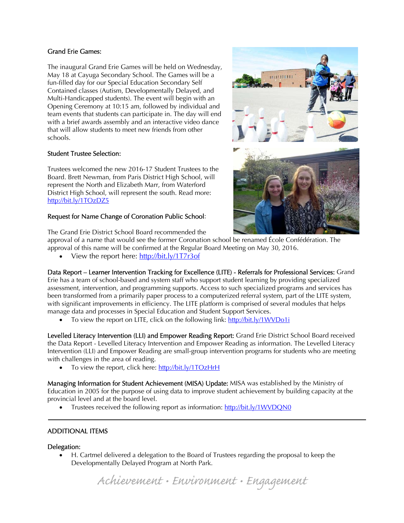#### Grand Erie Games:

The inaugural Grand Erie Games will be held on Wednesday, May 18 at Cayuga Secondary School. The Games will be a fun-filled day for our Special Education Secondary Self Contained classes (Autism, Developmentally Delayed, and Multi-Handicapped students). The event will begin with an Opening Ceremony at 10:15 am, followed by individual and team events that students can participate in. The day will end with a brief awards assembly and an interactive video dance that will allow students to meet new friends from other schools.

#### Student Trustee Selection:

Trustees welcomed the new 2016-17 Student Trustees to the Board. Brett Newman, from Paris District High School, will represent the North and Elizabeth Marr, from Waterford District High School, will represent the south. Read more: http://bit.ly/1TOzDZ5

#### Request for Name Change of Coronation Public School:





The Grand Erie District School Board recommended the

approval of a name that would see the former Coronation school be renamed École Confédération. The approval of this name will be confirmed at the Regular Board Meeting on May 30, 2016.

View the report here: http://bit.ly/1T7r3of

Data Report – Learner Intervention Tracking for Excellence (LITE) - Referrals for Professional Services: Grand Erie has a team of school-based and system staff who support student learning by providing specialized assessment, intervention, and programming supports. Access to such specialized programs and services has been transformed from a primarily paper process to a computerized referral system, part of the LITE system, with significant improvements in efficiency. The LITE platform is comprised of several modules that helps manage data and processes in Special Education and Student Support Services.

To view the report on LITE, click on the following link: http://bit.ly/1WVDo1i

Levelled Literacy Intervention (LLI) and Empower Reading Report: Grand Erie District School Board received the Data Report - Levelled Literacy Intervention and Empower Reading as information. The Levelled Literacy Intervention (LLI) and Empower Reading are small-group intervention programs for students who are meeting with challenges in the area of reading.

To view the report, click here: http://bit.ly/1TOzHrH

Managing Information for Student Achievement (MISA) Update: MISA was established by the Ministry of Education in 2005 for the purpose of using data to improve student achievement by building capacity at the provincial level and at the board level.

Trustees received the following report as information: http://bit.ly/1WVDQN0

## ADDITIONAL ITEMS

#### Delegation:

Ī

 H. Cartmel delivered a delegation to the Board of Trustees regarding the proposal to keep the Developmentally Delayed Program at North Park.

Achievement • Environment • Engagement